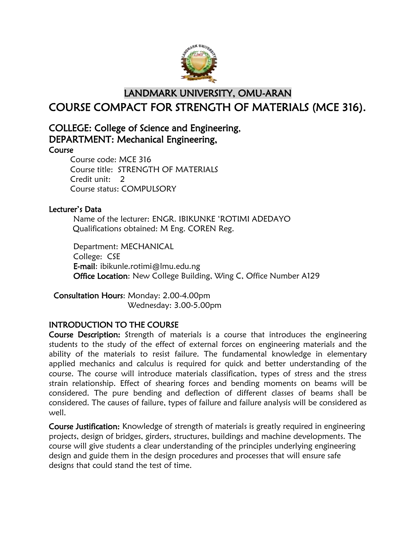

# LANDMARK UNIVERSITY, OMU-ARAN COURSE COMPACT FOR STRENGTH OF MATERIALS (MCE 316).

# COLLEGE: College of Science and Engineering, DEPARTMENT: Mechanical Engineering,

Course

Course code: MCE 316 Course title: STRENGTH OF MATERIALS Credit unit: 2 Course status: COMPULSORY

### Lecturer's Data

Name of the lecturer: ENGR. IBIKUNKE 'ROTIMI ADEDAYO Qualifications obtained: M Eng. COREN Reg.

Department: MECHANICAL College: CSE E-mail: ibikunle.rotimi@lmu.edu.ng Office Location: New College Building, Wing C, Office Number A129

Consultation Hours: Monday: 2.00-4.00pm Wednesday: 3.00-5.00pm

## INTRODUCTION TO THE COURSE

Course Description: Strength of materials is a course that introduces the engineering students to the study of the effect of external forces on engineering materials and the ability of the materials to resist failure. The fundamental knowledge in elementary applied mechanics and calculus is required for quick and better understanding of the course. The course will introduce materials classification, types of stress and the stress strain relationship. Effect of shearing forces and bending moments on beams will be considered. The pure bending and deflection of different classes of beams shall be considered. The causes of failure, types of failure and failure analysis will be considered as well.

Course Justification: Knowledge of strength of materials is greatly required in engineering projects, design of bridges, girders, structures, buildings and machine developments. The course will give students a clear understanding of the principles underlying engineering design and guide them in the design procedures and processes that will ensure safe designs that could stand the test of time.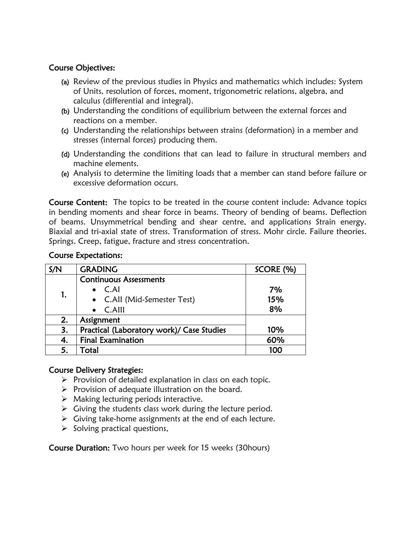# Course Objectives:

- (a) Review of the previous studies in Physics and mathematics which includes: System of Units, resolution of forces, moment, trigonometric relations, algebra, and calculus (differential and integral).
- (b) Understanding the conditions of equilibrium between the external forces and reactions on a member.
- (c) Understanding the relationships between strains (deformation) in a member and stresses (internal forces) producing them.
- (d) Understanding the conditions that can lead to failure in structural members and machine elements.
- (e) Analysis to determine the limiting loads that a member can stand before failure or excessive deformation occurs.

Course Content: The topics to be treated in the course content include: Advance topics in bending moments and shear force in beams. Theory of bending of beams. Deflection of beams. Unsymmetrical bending and shear centre, and applications Strain energy. Biaxial and tri-axial state of stress. Transformation of stress. Mohr circle. Failure theories. Springs. Creep, fatigue, fracture and stress concentration.

### Course Expectations:

| S/N | <b>GRADING</b>                            | SCORE (%) |
|-----|-------------------------------------------|-----------|
| 1.  | <b>Continuous Assessments</b>             |           |
|     | $\bullet$ C.AI                            | 7%        |
|     | • C.All (Mid-Semester Test)               | 15%       |
|     | $\bullet$ C.Alll                          | 8%        |
| 2.  | Assignment                                |           |
| 3.  | Practical (Laboratory work)/ Case Studies | 10%       |
| 4.  | <b>Final Examination</b>                  | 60%       |
| 5.  | Total                                     | 100       |

### Course Delivery Strategies:

- $\triangleright$  Provision of detailed explanation in class on each topic.
- $\triangleright$  Provision of adequate illustration on the board.
- $\triangleright$  Making lecturing periods interactive.
- $\triangleright$  Giving the students class work during the lecture period.
- $\triangleright$  Giving take-home assignments at the end of each lecture.
- $\triangleright$  Solving practical questions,

Course Duration: Two hours per week for 15 weeks (30hours)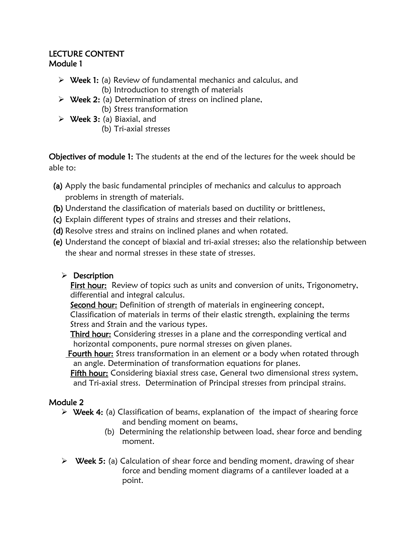## LECTURE CONTENT Module 1

- $\triangleright$  Week 1: (a) Review of fundamental mechanics and calculus, and (b) Introduction to strength of materials
- $\triangleright$  Week 2: (a) Determination of stress on inclined plane, (b) Stress transformation
- $\triangleright$  Week 3: (a) Biaxial, and
	- (b) Tri-axial stresses

Objectives of module 1: The students at the end of the lectures for the week should be able to:

- (a) Apply the basic fundamental principles of mechanics and calculus to approach problems in strength of materials.
- (b) Understand the classification of materials based on ductility or brittleness,
- (c) Explain different types of strains and stresses and their relations,
- (d) Resolve stress and strains on inclined planes and when rotated.
- (e) Understand the concept of biaxial and tri-axial stresses; also the relationship between the shear and normal stresses in these state of stresses.

# $\triangleright$  Description

First hour: Review of topics such as units and conversion of units, Trigonometry, differential and integral calculus.

**Second hour:** Definition of strength of materials in engineering concept, Classification of materials in terms of their elastic strength, explaining the terms Stress and Strain and the various types.

Third hour: Considering stresses in a plane and the corresponding vertical and horizontal components, pure normal stresses on given planes.

Fourth hour: Stress transformation in an element or a body when rotated through an angle. Determination of transformation equations for planes.

Fifth hour: Considering biaxial stress case, General two dimensional stress system, and Tri-axial stress. Determination of Principal stresses from principal strains.

# Module 2

- $\triangleright$  Week 4: (a) Classification of beams, explanation of the impact of shearing force and bending moment on beams,
	- (b) Determining the relationship between load, shear force and bending moment.
- $\triangleright$  Week 5: (a) Calculation of shear force and bending moment, drawing of shear force and bending moment diagrams of a cantilever loaded at a point.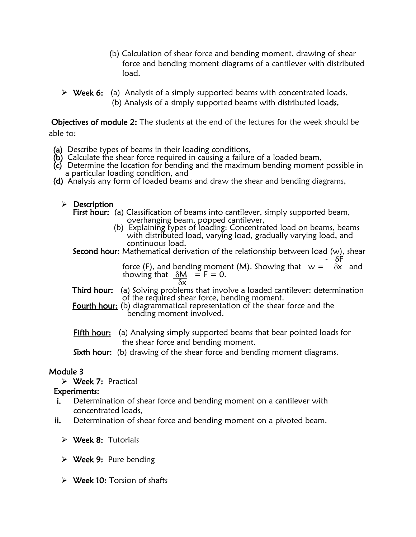- (b) Calculation of shear force and bending moment, drawing of shear force and bending moment diagrams of a cantilever with distributed load.
- $\triangleright$  Week 6: (a) Analysis of a simply supported beams with concentrated loads, (b) Analysis of a simply supported beams with distributed loads.

 Objectives of module 2: The students at the end of the lectures for the week should be able to:

- (a) Describe types of beams in their loading conditions,
- (b) Calculate the shear force required in causing a failure of a loaded beam,
- $(c)$  Determine the location for bending and the maximum bending moment possible in a particular loading condition, and
- (d) Analysis any form of loaded beams and draw the shear and bending diagrams,
	- $\triangleright$  Description
		- First hour: (a) Classification of beams into cantilever, simply supported beam, overhanging beam, popped cantilever,
- (b) Explaining types of loading: Concentrated load on beams, beams with distributed load, varying load, gradually varying load, and continuous load.

**Second hour:** Mathematical derivation of the relationship between load  $(w)$ , shear

 $\overline{\delta F}$ force (F), and bending moment (M). Showing that  $w = \overline{\delta x}$  and showing that  $\delta M = F = 0$ .  $\frac{3}{\delta x}$ 

- **Third hour:** (a) Solving problems that involve a loaded cantilever: determination of the required shear force, bending moment.
- Fourth hour: (b) diagrammatical representation of the shear force and the bending moment involved.
- Fifth hour: (a) Analysing simply supported beams that bear pointed loads for the shear force and bending moment.

Sixth hour: (b) drawing of the shear force and bending moment diagrams.

### Module 3

Week 7: Practical

### Experiments:

- **i.** Determination of shear force and bending moment on a cantilever with concentrated loads,
- ii. Determination of shear force and bending moment on a pivoted beam.
	- Week 8: Tutorials
	- $\triangleright$  Week 9: Pure bending
	- $\triangleright$  Week 10: Torsion of shafts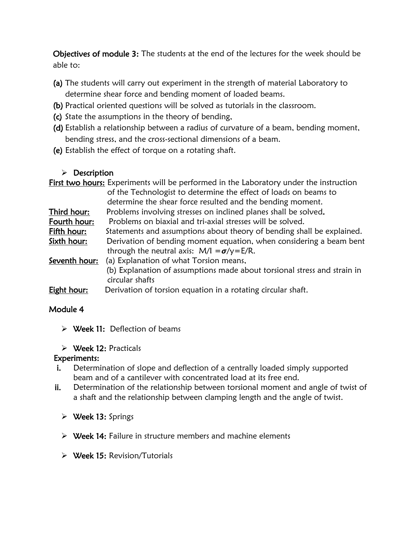Objectives of module 3: The students at the end of the lectures for the week should be able to:

- (a) The students will carry out experiment in the strength of material Laboratory to determine shear force and bending moment of loaded beams.
- (b) Practical oriented questions will be solved as tutorials in the classroom.
- (c) State the assumptions in the theory of bending,
- (d) Establish a relationship between a radius of curvature of a beam, bending moment, bending stress, and the cross-sectional dimensions of a beam.
- (e) Establish the effect of torque on a rotating shaft.

# $\triangleright$  Description

|               | First two hours: Experiments will be performed in the Laboratory under the instruction                                    |  |
|---------------|---------------------------------------------------------------------------------------------------------------------------|--|
|               | of the Technologist to determine the effect of loads on beams to                                                          |  |
|               | determine the shear force resulted and the bending moment.                                                                |  |
| Third hour:   | Problems involving stresses on inclined planes shall be solved.                                                           |  |
| Fourth hour:  | Problems on biaxial and tri-axial stresses will be solved.                                                                |  |
| Fifth hour:   | Statements and assumptions about theory of bending shall be explained.                                                    |  |
| Sixth hour:   | Derivation of bending moment equation, when considering a beam bent<br>through the neutral axis: $M/I = \sigma/y = E/R$ . |  |
| Seventh hour: | (a) Explanation of what Torsion means,                                                                                    |  |
|               | (b) Explanation of assumptions made about torsional stress and strain in<br>circular shafts                               |  |
| Eight hour:   | Derivation of torsion equation in a rotating circular shaft.                                                              |  |

## Module 4

 $\triangleright$  Week 11: Deflection of beams

## Week 12: Practicals

## Experiments:

- i. Determination of slope and deflection of a centrally loaded simply supported beam and of a cantilever with concentrated load at its free end.
- ii. Determination of the relationship between torsional moment and angle of twist of a shaft and the relationship between clamping length and the angle of twist.
	- $\triangleright$  Week 13: Springs
	- $\triangleright$  Week 14: Failure in structure members and machine elements
	- Week 15: Revision/Tutorials